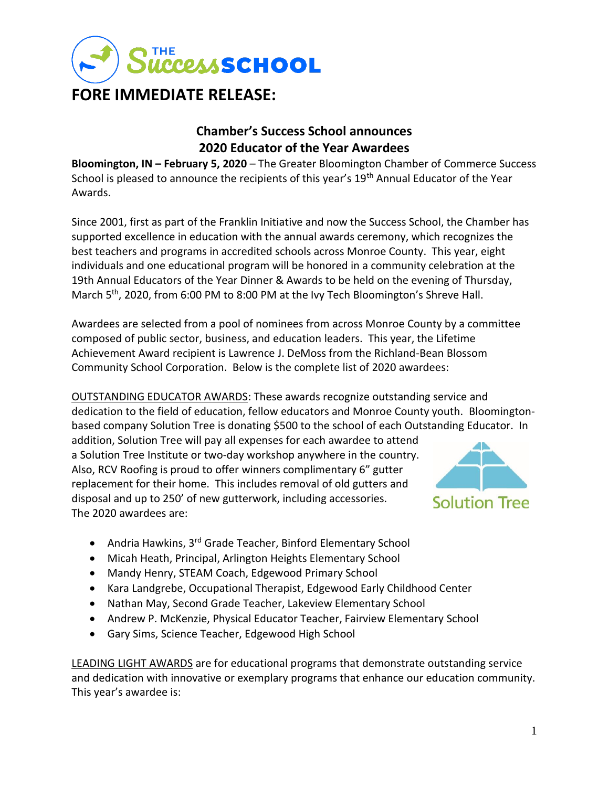

# **Chamber's Success School announces 2020 Educator of the Year Awardees**

**Bloomington, IN – February 5, 2020** – The Greater Bloomington Chamber of Commerce Success School is pleased to announce the recipients of this year's 19<sup>th</sup> Annual Educator of the Year Awards.

Since 2001, first as part of the Franklin Initiative and now the Success School, the Chamber has supported excellence in education with the annual awards ceremony, which recognizes the best teachers and programs in accredited schools across Monroe County. This year, eight individuals and one educational program will be honored in a community celebration at the 19th Annual Educators of the Year Dinner & Awards to be held on the evening of Thursday, March 5<sup>th</sup>, 2020, from 6:00 PM to 8:00 PM at the Ivy Tech Bloomington's Shreve Hall.

Awardees are selected from a pool of nominees from across Monroe County by a committee composed of public sector, business, and education leaders. This year, the Lifetime Achievement Award recipient is Lawrence J. DeMoss from the Richland-Bean Blossom Community School Corporation. Below is the complete list of 2020 awardees:

OUTSTANDING EDUCATOR AWARDS: These awards recognize outstanding service and dedication to the field of education, fellow educators and Monroe County youth. Bloomingtonbased company Solution Tree is donating \$500 to the school of each Outstanding Educator. In

addition, Solution Tree will pay all expenses for each awardee to attend a Solution Tree Institute or two-day workshop anywhere in the country. Also, RCV Roofing is proud to offer winners complimentary 6" gutter replacement for their home. This includes removal of old gutters and disposal and up to 250' of new gutterwork, including accessories. The 2020 awardees are:



- Andria Hawkins, 3<sup>rd</sup> Grade Teacher, Binford Elementary School
- Micah Heath, Principal, Arlington Heights Elementary School
- Mandy Henry, STEAM Coach, Edgewood Primary School
- Kara Landgrebe, Occupational Therapist, Edgewood Early Childhood Center
- Nathan May, Second Grade Teacher, Lakeview Elementary School
- Andrew P. McKenzie, Physical Educator Teacher, Fairview Elementary School
- Gary Sims, Science Teacher, Edgewood High School

LEADING LIGHT AWARDS are for educational programs that demonstrate outstanding service and dedication with innovative or exemplary programs that enhance our education community. This year's awardee is: